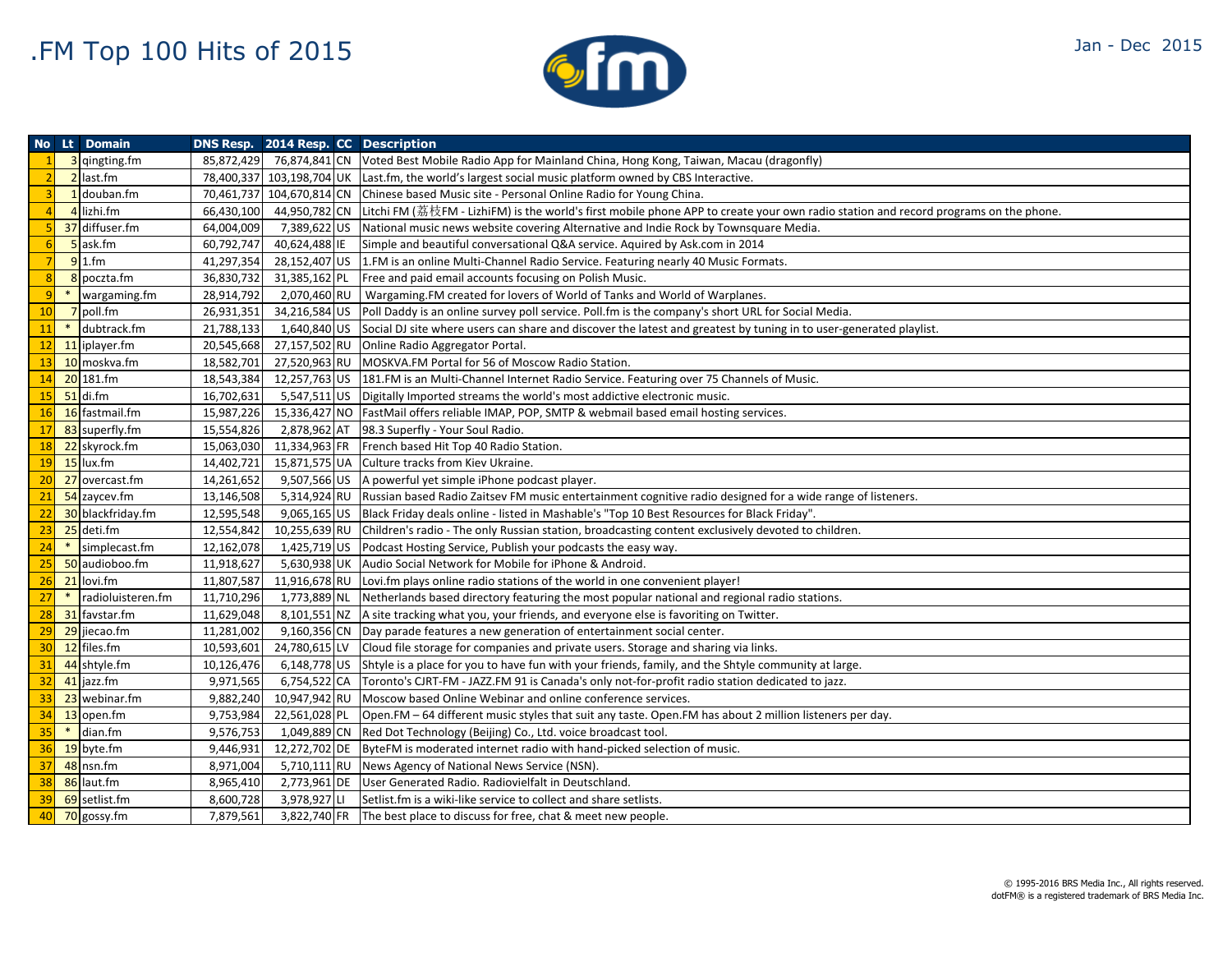

|                |                | <b>No Lt Domain</b> |            | DNS Resp. 2014 Resp. CC Description |                                                                                                                                                   |
|----------------|----------------|---------------------|------------|-------------------------------------|---------------------------------------------------------------------------------------------------------------------------------------------------|
|                |                | 3 qingting.fm       |            |                                     | 85,872,429 76,874,841 CN Voted Best Mobile Radio App for Mainland China, Hong Kong, Taiwan, Macau (dragonfly)                                     |
|                |                | 2 last.fm           |            |                                     | 78,400,337 103,198,704 UK Last.fm, the world's largest social music platform owned by CBS Interactive.                                            |
|                |                | 1 douban.fm         |            |                                     | 70,461,737 104,670,814 CN Chinese based Music site - Personal Online Radio for Young China.                                                       |
|                | $\overline{4}$ | lizhi.fm            | 66,430,100 |                                     | 44,950,782 CN Litchi FM (荔枝FM - LizhiFM) is the world's first mobile phone APP to create your own radio station and record programs on the phone. |
|                |                | 37 diffuser.fm      | 64,004,009 |                                     | 7,389,622 US National music news website covering Alternative and Indie Rock by Townsquare Media.                                                 |
| 6              |                | 5 ask.fm            | 60,792,747 | 40,624,488 IE                       | Simple and beautiful conversational Q&A service. Aquired by Ask.com in 2014                                                                       |
|                |                | $91.$ fm            | 41,297,354 |                                     | 28,152,407 US 1.FM is an online Multi-Channel Radio Service. Featuring nearly 40 Music Formats.                                                   |
| 8 <sup>1</sup> |                | 8 poczta.fm         | 36,830,732 |                                     | 31,385,162 PL Free and paid email accounts focusing on Polish Music.                                                                              |
| 9              | $\ast$         | wargaming.fm        | 28,914,792 |                                     | 2,070,460 RU   Wargaming.FM created for lovers of World of Tanks and World of Warplanes.                                                          |
| 10             |                | $7$ poll.fm         | 26,931,351 |                                     | 34,216,584 US   Poll Daddy is an online survey poll service. Poll.fm is the company's short URL for Social Media.                                 |
| 11             | $\ast$         | dubtrack.fm         | 21,788,133 |                                     | 1,640,840 US Social DJ site where users can share and discover the latest and greatest by tuning in to user-generated playlist.                   |
| 12             |                | 11 iplayer.fm       | 20,545,668 |                                     | 27,157,502 RU Online Radio Aggregator Portal.                                                                                                     |
| 13             |                | 10 moskva.fm        | 18,582,701 |                                     | 27,520,963 RU MOSKVA.FM Portal for 56 of Moscow Radio Station.                                                                                    |
| 14             |                | 20 181.fm           | 18,543,384 |                                     | 12,257,763 US 181.FM is an Multi-Channel Internet Radio Service. Featuring over 75 Channels of Music.                                             |
| 15             |                | $51$ di.fm          | 16,702,631 |                                     | 5,547,511 US Digitally Imported streams the world's most addictive electronic music.                                                              |
| 16             |                | 16 fastmail.fm      | 15,987,226 |                                     | 15,336,427 NO   FastMail offers reliable IMAP, POP, SMTP & webmail based email hosting services.                                                  |
| 17             |                | 83 superfly.fm      | 15,554,826 |                                     | 2,878,962 AT 98.3 Superfly - Your Soul Radio.                                                                                                     |
| 18             |                | 22 skyrock.fm       | 15,063,030 |                                     | 11,334,963 FR French based Hit Top 40 Radio Station.                                                                                              |
| 19             |                | $15$ lux.fm         | 14,402,721 |                                     | 15,871,575 UA Culture tracks from Kiev Ukraine.                                                                                                   |
| 20             |                | 27 overcast.fm      | 14,261,652 |                                     | 9,507,566 US A powerful yet simple iPhone podcast player.                                                                                         |
| 21             |                | 54 zaycev.fm        | 13,146,508 |                                     | 5,314,924 RU Russian based Radio Zaitsev FM music entertainment cognitive radio designed for a wide range of listeners.                           |
| 22             |                | 30 blackfriday.fm   | 12,595,548 |                                     | 9,065,165 US Black Friday deals online - listed in Mashable's "Top 10 Best Resources for Black Friday".                                           |
| 23             |                | 25 deti.fm          | 12,554,842 |                                     | 10,255,639 RU Children's radio - The only Russian station, broadcasting content exclusively devoted to children.                                  |
| 24             |                | * simplecast.fm     | 12,162,078 |                                     | 1,425,719 US Podcast Hosting Service, Publish your podcasts the easy way.                                                                         |
| 25             |                | 50 audioboo.fm      | 11,918,627 |                                     | 5,630,938 UK Audio Social Network for Mobile for iPhone & Android.                                                                                |
| 26             |                | 21 lovi.fm          | 11,807,587 |                                     | 11,916,678 RU Lovi.fm plays online radio stations of the world in one convenient player!                                                          |
| 27             | $*$            | radioluisteren.fm   | 11,710,296 |                                     | 1,773,889 NL Netherlands based directory featuring the most popular national and regional radio stations.                                         |
| 28             |                | 31 favstar.fm       | 11,629,048 |                                     | 8,101,551 NZ A site tracking what you, your friends, and everyone else is favoriting on Twitter.                                                  |
| 29             |                | 29 jiecao.fm        | 11,281,002 |                                     | 9,160,356 CN Day parade features a new generation of entertainment social center.                                                                 |
| 30             |                | 12 files.fm         | 10,593,601 |                                     | 24,780,615 LV Cloud file storage for companies and private users. Storage and sharing via links.                                                  |
| 31             |                | 44 shtyle.fm        | 10,126,476 |                                     | $6,148,778$ US Shtyle is a place for you to have fun with your friends, family, and the Shtyle community at large.                                |
| 32             |                | 41 jazz.fm          | 9,971,565  |                                     | 6,754,522 CA Toronto's CJRT-FM - JAZZ.FM 91 is Canada's only not-for-profit radio station dedicated to jazz.                                      |
| 33             |                | 23 webinar.fm       | 9,882,240  |                                     | 10,947,942 RU Moscow based Online Webinar and online conference services.                                                                         |
| 34             |                | 13 open.fm          | 9,753,984  |                                     | $22,561,028$ PL $\vert$ Open.FM – 64 different music styles that suit any taste. Open.FM has about 2 million listeners per day.                   |
| 35             | $*$            | dian.fm             | 9,576,753  |                                     | 1,049,889 CN Red Dot Technology (Beijing) Co., Ltd. voice broadcast tool.                                                                         |
| 36             |                | 19 byte.fm          | 9,446,931  |                                     | 12,272,702 DE ByteFM is moderated internet radio with hand-picked selection of music.                                                             |
| 37             |                | 48 nsn.fm           | 8,971,004  |                                     | 5,710,111 RU News Agency of National News Service (NSN).                                                                                          |
| 38             |                | 86 laut.fm          | 8,965,410  |                                     | 2,773,961 DE User Generated Radio. Radiovielfalt in Deutschland.                                                                                  |
| 39             |                | 69 setlist.fm       | 8,600,728  | 3,978,927 LI                        | Setlist.fm is a wiki-like service to collect and share setlists.                                                                                  |
| 40             |                | 70 gossy.fm         | 7,879,561  |                                     | 3,822,740 FR The best place to discuss for free, chat & meet new people.                                                                          |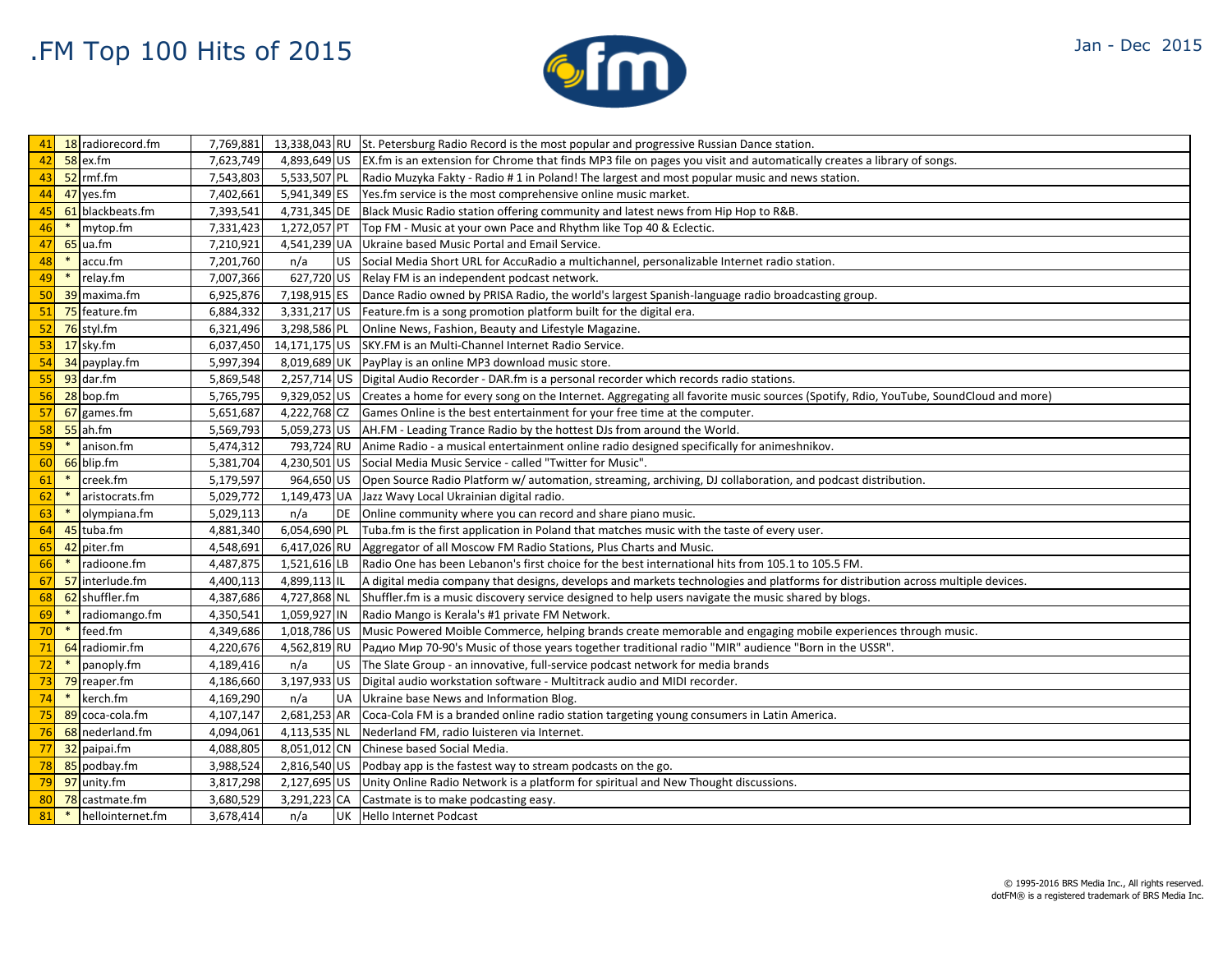

|        | 41 18 radiorecord.fm         | 7,769,881 |                  | 13,338,043 RU St. Petersburg Radio Record is the most popular and progressive Russian Dance station.                                             |
|--------|------------------------------|-----------|------------------|--------------------------------------------------------------------------------------------------------------------------------------------------|
| 42     | $58$ ex.fm                   | 7,623,749 |                  | 4,893,649 US   EX.fm is an extension for Chrome that finds MP3 file on pages you visit and automatically creates a library of songs.             |
| 43     | $52$ rmf.fm                  | 7,543,803 |                  | 5,533,507 PL Radio Muzyka Fakty - Radio # 1 in Poland! The largest and most popular music and news station.                                      |
| 44     | 47 yes.fm                    | 7,402,661 |                  | 5,941,349 ES Yes. fm service is the most comprehensive online music market.                                                                      |
| 45     | 61 blackbeats.fm             | 7,393,541 |                  | 4,731,345 DE Black Music Radio station offering community and latest news from Hip Hop to R&B.                                                   |
| 46     | * mytop.fm                   | 7,331,423 |                  | 1,272,057 PT Top FM - Music at your own Pace and Rhythm like Top 40 & Eclectic.                                                                  |
| 47     | $65$ ua.fm                   | 7,210,921 |                  | 4,541,239 UA Ukraine based Music Portal and Email Service.                                                                                       |
| 48     | $\ast$<br>accu.fm            | 7,201,760 | n/a              | US Social Media Short URL for AccuRadio a multichannel, personalizable Internet radio station.                                                   |
| 49     | $*$<br>relay.fm              | 7,007,366 |                  | 627,720 US Relay FM is an independent podcast network.                                                                                           |
|        | 50 39 maxima.fm              | 6,925,876 |                  | 7,198,915 ES   Dance Radio owned by PRISA Radio, the world's largest Spanish-language radio broadcasting group.                                  |
|        | 51 75 feature.fm             | 6,884,332 |                  | $3,331,217$ US Feature.fm is a song promotion platform built for the digital era.                                                                |
|        | $52$ 76 styl.fm              | 6,321,496 |                  | 3,298,586 PL Online News, Fashion, Beauty and Lifestyle Magazine.                                                                                |
|        | $53$ 17 sky.fm               | 6,037,450 |                  | 14,171,175 US SKY.FM is an Multi-Channel Internet Radio Service.                                                                                 |
| 54     | 34 payplay.fm                | 5,997,394 |                  | 8,019,689 UK PayPlay is an online MP3 download music store.                                                                                      |
| 55     | $93$ dar.fm                  | 5,869,548 |                  | 2,257,714 US Digital Audio Recorder - DAR.fm is a personal recorder which records radio stations.                                                |
|        | $56$ 28 bop.fm               | 5,765,795 |                  | 9,329,052 US Creates a home for every song on the Internet. Aggregating all favorite music sources (Spotify, Rdio, YouTube, SoundCloud and more) |
| 57     | 67 games.fm                  | 5,651,687 |                  | 4,222,768 CZ Games Online is the best entertainment for your free time at the computer.                                                          |
| 58     | $55$ ah.fm                   | 5,569,793 |                  | 5,059,273 US AH.FM - Leading Trance Radio by the hottest DJs from around the World.                                                              |
| 59     | $*$<br>anison.fm             | 5,474,312 |                  | 793,724 RU Anime Radio - a musical entertainment online radio designed specifically for animeshnikov.                                            |
| 60     | 66 blip.fm                   | 5,381,704 |                  | 4,230,501 US Social Media Music Service - called "Twitter for Music".                                                                            |
| 61     | creek.fm<br>$*$              | 5,179,597 |                  | 964,650 US   Open Source Radio Platform w/ automation, streaming, archiving, DJ collaboration, and podcast distribution.                         |
| $62$ * | aristocrats.fm               | 5,029,772 |                  | 1,149,473 UA Jazz Wavy Local Ukrainian digital radio.                                                                                            |
| 63     | $*$<br>olympiana.fm          | 5,029,113 | n/a              | DE Online community where you can record and share piano music.                                                                                  |
| 64     | 45 tuba.fm                   | 4,881,340 |                  | 6,054,690 PL Tuba.fm is the first application in Poland that matches music with the taste of every user.                                         |
| 65     | 42 piter.fm                  | 4,548,691 |                  | 6,417,026 RU Aggregator of all Moscow FM Radio Stations, Plus Charts and Music.                                                                  |
| 66     | $*$<br>radioone.fm           | 4,487,875 | 1,521,616 LB     | Radio One has been Lebanon's first choice for the best international hits from 105.1 to 105.5 FM.                                                |
|        | 67 57 interlude.fm           | 4,400,113 | 4,899,113 IL     | A digital media company that designs, develops and markets technologies and platforms for distribution across multiple devices.                  |
| 68     | 62 shuffler.fm               | 4,387,686 |                  | 4,727,868 NL Shuffler.fm is a music discovery service designed to help users navigate the music shared by blogs.                                 |
| 69     | $*$<br>radiomango.fm         | 4,350,541 |                  | 1,059,927 IN Radio Mango is Kerala's #1 private FM Network.                                                                                      |
| $70$ * | feed.fm                      | 4,349,686 |                  | 1,018,786 US   Music Powered Moible Commerce, helping brands create memorable and engaging mobile experiences through music.                     |
| 71     | 64 radiomir.fm               | 4,220,676 |                  | 4,562,819 RU   Радио Мир 70-90's Music of those years together traditional radio "MIR" audience "Born in the USSR".                              |
|        | $\frac{72}{10}$ * panoply.fm | 4,189,416 | n/a<br><b>US</b> | The Slate Group - an innovative, full-service podcast network for media brands                                                                   |
|        | 73 79 reaper.fm              | 4,186,660 |                  | 3,197,933 US Digital audio workstation software - Multitrack audio and MIDI recorder.                                                            |
| 74     | $*$ kerch.fm                 | 4,169,290 | n/a              | UA Ukraine base News and Information Blog.                                                                                                       |
| 75     | 89 coca-cola.fm              | 4,107,147 |                  | 2,681,253 AR Coca-Cola FM is a branded online radio station targeting young consumers in Latin America.                                          |
| 76     | 68 nederland.fm              | 4,094,061 |                  | 4,113,535 NL Nederland FM, radio luisteren via Internet.                                                                                         |
|        | 77 32 paipai.fm              | 4,088,805 |                  | 8,051,012 CN Chinese based Social Media.                                                                                                         |
|        | 78 85 podbay.fm              | 3,988,524 |                  | 2,816,540 US Podbay app is the fastest way to stream podcasts on the go.                                                                         |
|        | 79 97 unity.fm               | 3,817,298 |                  | 2,127,695 US Unity Online Radio Network is a platform for spiritual and New Thought discussions.                                                 |
| 80     | 78 castmate.fm               | 3,680,529 |                  | 3,291,223 CA Castmate is to make podcasting easy.                                                                                                |
| 81     | hellointernet.fm<br>$*$      | 3,678,414 | n/a              | UK Hello Internet Podcast                                                                                                                        |